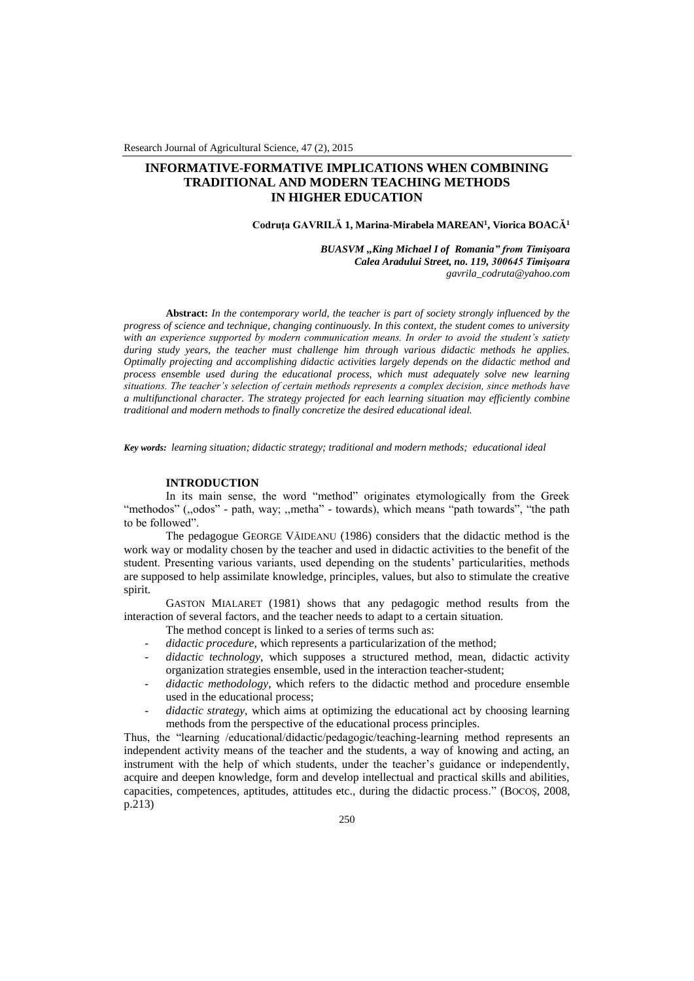# **INFORMATIVE-FORMATIVE IMPLICATIONS WHEN COMBINING TRADITIONAL AND MODERN TEACHING METHODS IN HIGHER EDUCATION**

### **Codruţa GAVRILĂ 1, Marina-Mirabela MAREAN<sup>1</sup> , Viorica BOACĂ<sup>1</sup>**

*BUASVM ,,King Michael I of Romania" from Timişoara Calea Aradului Street, no. 119, 300645 Timişoara gavrila\_codruta@yahoo.com*

**Abstract:** *In the contemporary world, the teacher is part of society strongly influenced by the progress of science and technique, changing continuously. In this context, the student comes to university with an experience supported by modern communication means. In order to avoid the student's satiety during study years, the teacher must challenge him through various didactic methods he applies. Optimally projecting and accomplishing didactic activities largely depends on the didactic method and process ensemble used during the educational process, which must adequately solve new learning situations. The teacher's selection of certain methods represents a complex decision, since methods have a multifunctional character. The strategy projected for each learning situation may efficiently combine traditional and modern methods to finally concretize the desired educational ideal.*

*Key words: learning situation; didactic strategy; traditional and modern methods; educational ideal*

### **INTRODUCTION**

In its main sense, the word "method" originates etymologically from the Greek "methodos" (,,odos" - path, way; ,,metha" - towards), which means "path towards", "the path to be followed".

The pedagogue GEORGE VĂIDEANU (1986) considers that the didactic method is the work way or modality chosen by the teacher and used in didactic activities to the benefit of the student. Presenting various variants, used depending on the students' particularities, methods are supposed to help assimilate knowledge, principles, values, but also to stimulate the creative spirit.

GASTON MIALARET (1981) shows that any pedagogic method results from the interaction of several factors, and the teacher needs to adapt to a certain situation.

The method concept is linked to a series of terms such as:

- *didactic procedure*, which represents a particularization of the method;
- *didactic technology*, which supposes a structured method, mean, didactic activity organization strategies ensemble, used in the interaction teacher-student;
- *didactic methodology*, which refers to the didactic method and procedure ensemble used in the educational process;
- *didactic strategy,* which aims at optimizing the educational act by choosing learning methods from the perspective of the educational process principles.

Thus, the "learning /educational/didactic/pedagogic/teaching-learning method represents an independent activity means of the teacher and the students, a way of knowing and acting, an instrument with the help of which students, under the teacher's guidance or independently, acquire and deepen knowledge, form and develop intellectual and practical skills and abilities, capacities, competences, aptitudes, attitudes etc., during the didactic process." (BOCOŞ, 2008, p.213)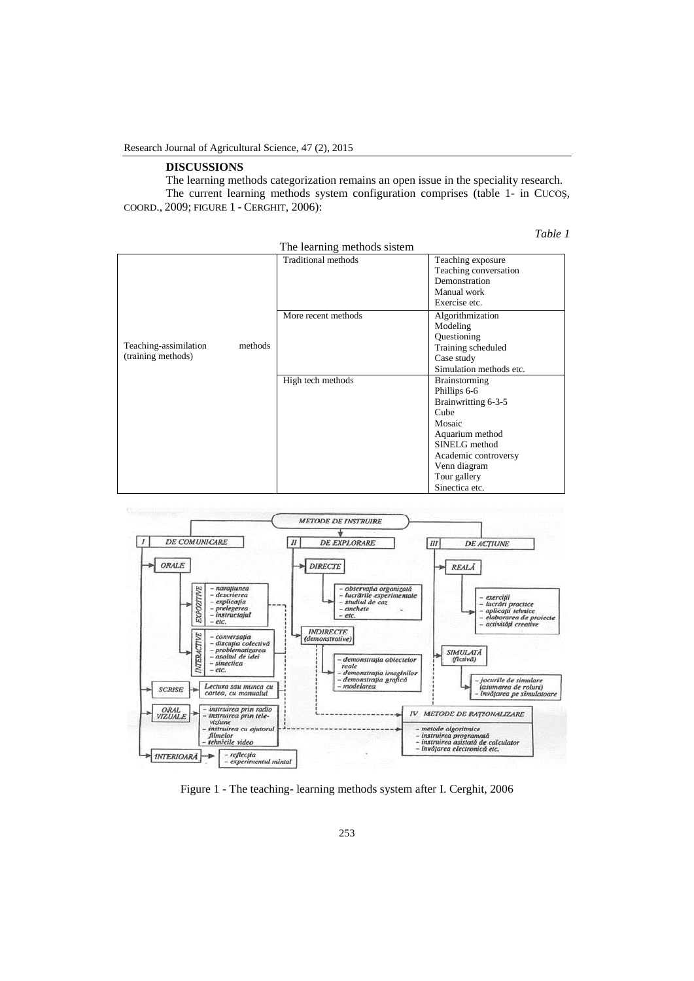## **DISCUSSIONS**

The learning methods categorization remains an open issue in the speciality research. The current learning methods system configuration comprises (table 1- in CUCOŞ, COORD., 2009; FIGURE 1 - CERGHIT, 2006):

*Table 1*

|                                                        | The learning methods sistem |                                                                                                                                                                                      |
|--------------------------------------------------------|-----------------------------|--------------------------------------------------------------------------------------------------------------------------------------------------------------------------------------|
| Teaching-assimilation<br>methods<br>(training methods) | <b>Traditional methods</b>  | Teaching exposure<br>Teaching conversation<br>Demonstration<br>Manual work<br>Exercise etc.                                                                                          |
|                                                        | More recent methods         | Algorithmization<br>Modeling<br>Questioning<br>Training scheduled<br>Case study<br>Simulation methods etc.                                                                           |
|                                                        | High tech methods           | Brainstorming<br>Phillips 6-6<br>Brainwritting 6-3-5<br>Cube<br>Mosaic<br>Aquarium method<br>SINELG method<br>Academic controversy<br>Venn diagram<br>Tour gallery<br>Sinectica etc. |



Figure 1 - The teaching- learning methods system after I. Cerghit, 2006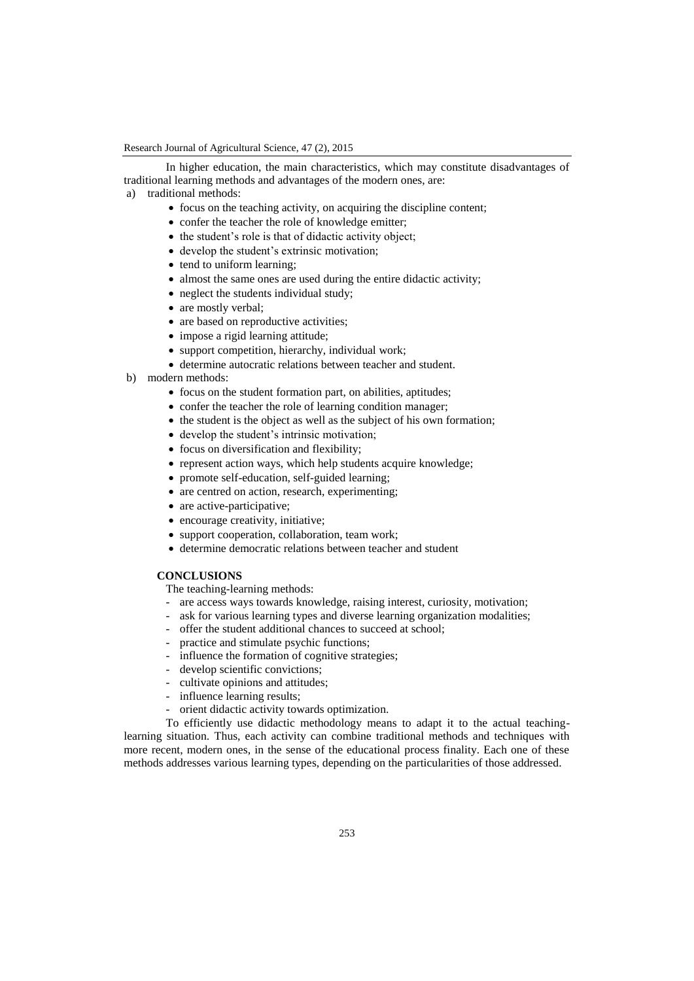In higher education, the main characteristics, which may constitute disadvantages of traditional learning methods and advantages of the modern ones, are:

- a) traditional methods:
	- $\bullet$  focus on the teaching activity, on acquiring the discipline content;
	- confer the teacher the role of knowledge emitter;
	- the student's role is that of didactic activity object;
	- develop the student's extrinsic motivation;
	- tend to uniform learning;
	- almost the same ones are used during the entire didactic activity;
	- neglect the students individual study;
	- are mostly verbal;
	- are based on reproductive activities;
	- impose a rigid learning attitude;
	- support competition, hierarchy, individual work;
	- determine autocratic relations between teacher and student.
- b) modern methods:
	- focus on the student formation part, on abilities, aptitudes;
	- confer the teacher the role of learning condition manager;
	- $\bullet$  the student is the object as well as the subject of his own formation;
	- develop the student's intrinsic motivation;
	- focus on diversification and flexibility;
	- represent action ways, which help students acquire knowledge;
	- promote self-education, self-guided learning;
	- are centred on action, research, experimenting;
	- are active-participative;
	- encourage creativity, initiative;
	- support cooperation, collaboration, team work;
	- determine democratic relations between teacher and student

### **CONCLUSIONS**

The teaching-learning methods:

- are access ways towards knowledge, raising interest, curiosity, motivation;
- ask for various learning types and diverse learning organization modalities;
- offer the student additional chances to succeed at school;
- practice and stimulate psychic functions;
- influence the formation of cognitive strategies;
- develop scientific convictions;
- cultivate opinions and attitudes;
- influence learning results;
- orient didactic activity towards optimization.

To efficiently use didactic methodology means to adapt it to the actual teachinglearning situation. Thus, each activity can combine traditional methods and techniques with more recent, modern ones, in the sense of the educational process finality. Each one of these methods addresses various learning types, depending on the particularities of those addressed.